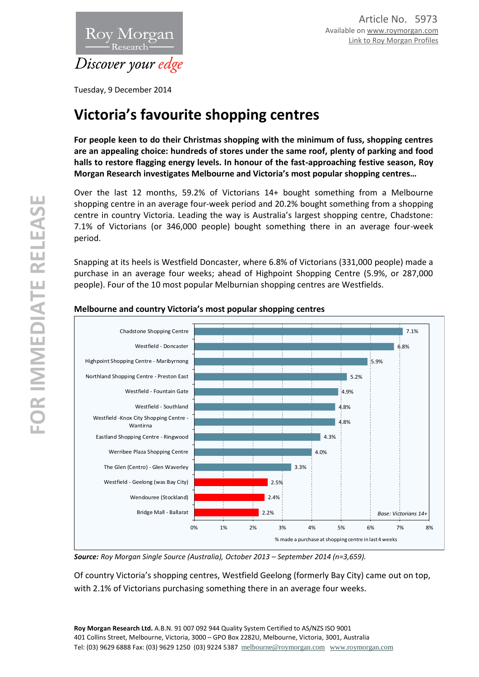

Tuesday, 9 December 2014

# **Victoria's favourite shopping centres**

**For people keen to do their Christmas shopping with the minimum of fuss, shopping centres are an appealing choice: hundreds of stores under the same roof, plenty of parking and food halls to restore flagging energy levels. In honour of the fast-approaching festive season, Roy Morgan Research investigates Melbourne and Victoria's most popular shopping centres…**

Over the last 12 months, 59.2% of Victorians 14+ bought something from a Melbourne shopping centre in an average four-week period and 20.2% bought something from a shopping centre in country Victoria. Leading the way is Australia's largest shopping centre, Chadstone: 7.1% of Victorians (or 346,000 people) bought something there in an average four-week period.

Snapping at its heels is Westfield Doncaster, where 6.8% of Victorians (331,000 people) made a purchase in an average four weeks; ahead of Highpoint Shopping Centre (5.9%, or 287,000 people). Four of the 10 most popular Melburnian shopping centres are Westfields.



## **Melbourne and country Victoria's most popular shopping centres**

*Source: Roy Morgan Single Source (Australia), October 2013 – September 2014 (n=3,659).*

Of country Victoria's shopping centres, Westfield Geelong (formerly Bay City) came out on top, with 2.1% of Victorians purchasing something there in an average four weeks.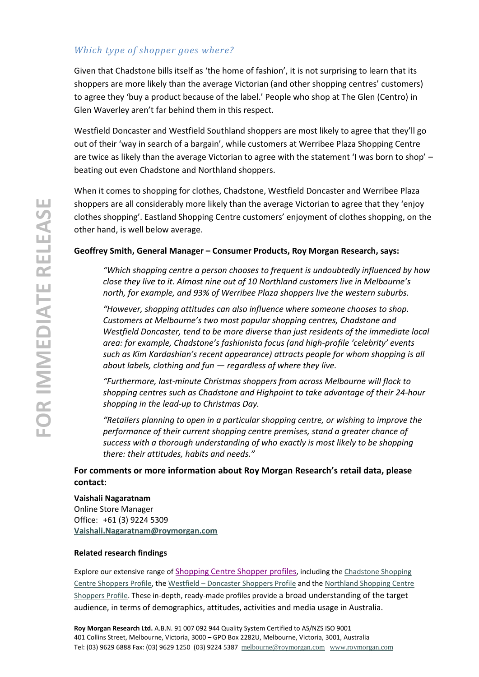## *Which type of shopper goes where?*

Given that Chadstone bills itself as 'the home of fashion', it is not surprising to learn that its shoppers are more likely than the average Victorian (and other shopping centres' customers) to agree they 'buy a product because of the label.' People who shop at The Glen (Centro) in Glen Waverley aren't far behind them in this respect.

Westfield Doncaster and Westfield Southland shoppers are most likely to agree that they'll go out of their 'way in search of a bargain', while customers at Werribee Plaza Shopping Centre are twice as likely than the average Victorian to agree with the statement 'I was born to shop' – beating out even Chadstone and Northland shoppers.

When it comes to shopping for clothes, Chadstone, Westfield Doncaster and Werribee Plaza shoppers are all considerably more likely than the average Victorian to agree that they 'enjoy clothes shopping'. Eastland Shopping Centre customers' enjoyment of clothes shopping, on the other hand, is well below average.

## **Geoffrey Smith, General Manager – Consumer Products, Roy Morgan Research, says:**

*"Which shopping centre a person chooses to frequent is undoubtedly influenced by how close they live to it. Almost nine out of 10 Northland customers live in Melbourne's north, for example, and 93% of Werribee Plaza shoppers live the western suburbs.*

*"However, shopping attitudes can also influence where someone chooses to shop. Customers at Melbourne's two most popular shopping centres, Chadstone and Westfield Doncaster, tend to be more diverse than just residents of the immediate local area: for example, Chadstone's fashionista focus (and high-profile 'celebrity' events such as Kim Kardashian's recent appearance) attracts people for whom shopping is all about labels, clothing and fun — regardless of where they live.*

*"Furthermore, last-minute Christmas shoppers from across Melbourne will flock to shopping centres such as Chadstone and Highpoint to take advantage of their 24-hour shopping in the lead-up to Christmas Day.*

*"Retailers planning to open in a particular shopping centre, or wishing to improve the performance of their current shopping centre premises, stand a greater chance of success with a thorough understanding of who exactly is most likely to be shopping there: their attitudes, habits and needs."*

**For comments or more information about Roy Morgan Research's retail data, please contact:**

**Vaishali Nagaratnam** Online Store Manager Office: +61 (3) 9224 5309 **[Vaishali.Nagaratnam@roymorgan.com](mailto:Vaishali.Nagaratnam@roymorgan.com)**

### **Related research findings**

Explore our extensive range of [Shopping Centre Shopper profiles](http://www.roymorganonlinestore.com/Browse/Australia/Retail/Shopping-Centres.aspx), including the [Chadstone Shopping](http://www.roymorganonlinestore.com/Browse/Australia/Retail/Shopping-Centres/VIC/Chadstone-Shopping-Centre-Shoppers-Profile.aspx)  [Centre Shoppers Profile,](http://www.roymorganonlinestore.com/Browse/Australia/Retail/Shopping-Centres/VIC/Chadstone-Shopping-Centre-Shoppers-Profile.aspx) the Westfield – [Doncaster Shoppers Profile](http://www.roymorganonlinestore.com/Browse/Australia/Retail/Shopping-Centres/VIC/Westfield-Doncaster-Shoppers-Profile.aspx) and the [Northland Shopping Centre](http://www.roymorganonlinestore.com/Browse/Australia/Retail/Shopping-Centres/VIC/Northland-Shopping-Centre-Preston-East-Shoppers-Pr.aspx)  [Shoppers Profile.](http://www.roymorganonlinestore.com/Browse/Australia/Retail/Shopping-Centres/VIC/Northland-Shopping-Centre-Preston-East-Shoppers-Pr.aspx) These in-depth, ready-made profiles provide a broad understanding of the target audience, in terms of demographics, attitudes, activities and media usage in Australia.